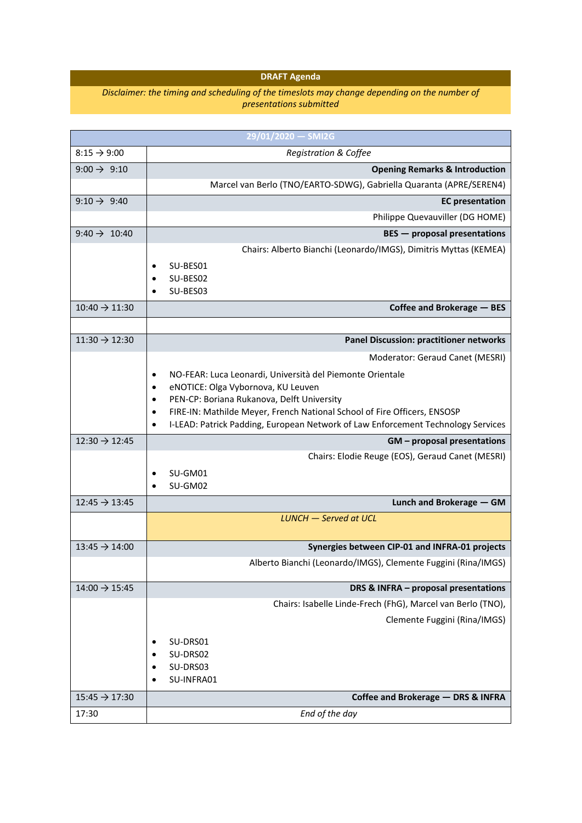## **DRAFT Agenda**

## *Disclaimer: the timing and scheduling of the timeslots may change depending on the number of presentations submitted*

| 29/01/2020 - SMI2G        |                                                                                                                   |
|---------------------------|-------------------------------------------------------------------------------------------------------------------|
| $8:15 \rightarrow 9:00$   | <b>Registration &amp; Coffee</b>                                                                                  |
| 9:00 $\rightarrow$ 9:10   | <b>Opening Remarks &amp; Introduction</b>                                                                         |
|                           | Marcel van Berlo (TNO/EARTO-SDWG), Gabriella Quaranta (APRE/SEREN4)                                               |
| 9:10 $\rightarrow$ 9:40   | <b>EC</b> presentation                                                                                            |
|                           | Philippe Quevauviller (DG HOME)                                                                                   |
| 9:40 $\rightarrow$ 10:40  | <b>BES</b> - proposal presentations                                                                               |
|                           | Chairs: Alberto Bianchi (Leonardo/IMGS), Dimitris Myttas (KEMEA)                                                  |
|                           | SU-BES01                                                                                                          |
|                           | SU-BES02                                                                                                          |
|                           | SU-BES03                                                                                                          |
| $10:40 \rightarrow 11:30$ | Coffee and Brokerage - BES                                                                                        |
| $11:30 \rightarrow 12:30$ | <b>Panel Discussion: practitioner networks</b>                                                                    |
|                           | Moderator: Geraud Canet (MESRI)                                                                                   |
|                           |                                                                                                                   |
|                           | NO-FEAR: Luca Leonardi, Università del Piemonte Orientale<br>٠<br>eNOTICE: Olga Vybornova, KU Leuven<br>$\bullet$ |
|                           | PEN-CP: Boriana Rukanova, Delft University<br>$\bullet$                                                           |
|                           | FIRE-IN: Mathilde Meyer, French National School of Fire Officers, ENSOSP<br>$\bullet$                             |
|                           | I-LEAD: Patrick Padding, European Network of Law Enforcement Technology Services<br>$\bullet$                     |
| $12:30 \rightarrow 12:45$ | GM - proposal presentations                                                                                       |
|                           | Chairs: Elodie Reuge (EOS), Geraud Canet (MESRI)                                                                  |
|                           | SU-GM01                                                                                                           |
|                           | SU-GM02                                                                                                           |
| $12:45 \rightarrow 13:45$ | Lunch and Brokerage - GM                                                                                          |
|                           | <b>LUNCH</b> - Served at UCL                                                                                      |
| $13:45 \rightarrow 14:00$ | Synergies between CIP-01 and INFRA-01 projects                                                                    |
|                           | Alberto Bianchi (Leonardo/IMGS), Clemente Fuggini (Rina/IMGS)                                                     |
| $14:00 \rightarrow 15:45$ | DRS & INFRA - proposal presentations                                                                              |
|                           | Chairs: Isabelle Linde-Frech (FhG), Marcel van Berlo (TNO),                                                       |
|                           | Clemente Fuggini (Rina/IMGS)                                                                                      |
|                           |                                                                                                                   |
|                           | SU-DRS01<br>SU-DRS02                                                                                              |
|                           | SU-DRS03                                                                                                          |
|                           |                                                                                                                   |
|                           | SU-INFRA01                                                                                                        |
| $15:45 \rightarrow 17:30$ | Coffee and Brokerage - DRS & INFRA                                                                                |